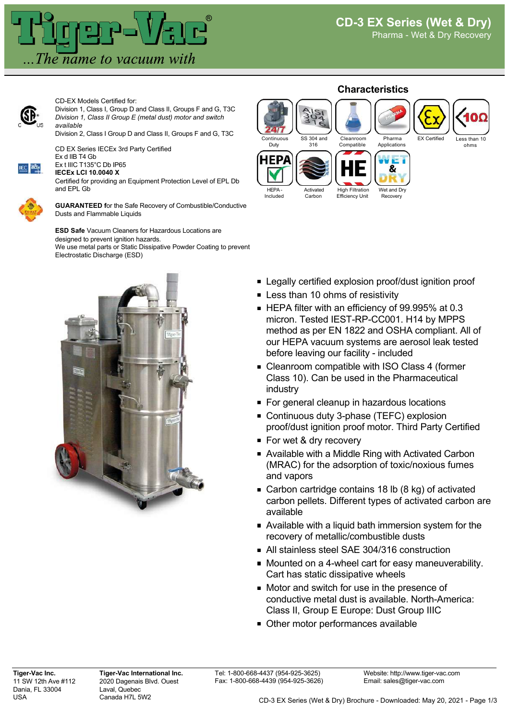

CD-EX Models Certified for:

Division 1, Class I, Group D and Class II, Groups F and G, T3C *Division 1, Class II Group E (metal dust) motor and switch available*

Division 2, Class I Group D and Class II, Groups F and G, T3C

CD EX Series IECEx 3rd Party Certified Ex d IIB T4 Gb



Ex t IIIC T135°C Db IP65 **IECEx LCI 10.0040 X**

Certified for providing an Equipment Protection Level of EPL Db and EPL Gb



**GUARANTEED f**or the Safe Recovery of Combustible/Conductive Dusts and Flammable Liquids

**ESD Safe** Vacuum Cleaners for Hazardous Locations are designed to prevent ignition hazards. We use metal parts or Static Dissipative Powder Coating to prevent Electrostatic Discharge (ESD)



## **Characteristics** Continuous SS 304 and Cleanroom Pharma  $EY$  Cartified Duty 316 Compatible Applications ohms IFP/ 8 High Filtration **HEPA Activated** Wet and Dry Recovery Included Carbon Efficiency Unit

- **Example 2** Legally certified explosion proof/dust ignition proof
- **Less than 10 ohms of resistivity**
- HEPA filter with an efficiency of 99.995% at 0.3 micron. Tested IEST-RP-CC001. H14 by MPPS method as per EN 1822 and OSHA compliant. All of our HEPA vacuum systems are aerosol leak tested before leaving our facility - included
- Cleanroom compatible with ISO Class 4 (former Class 10). Can be used in the Pharmaceutical industry
- For general cleanup in hazardous locations
- **Continuous duty 3-phase (TEFC) explosion** proof/dust ignition proof motor. Third Party Certified
- For wet & dry recovery
- Available with a Middle Ring with Activated Carbon (MRAC) for the adsorption of toxic/noxious fumes and vapors
- Carbon cartridge contains 18 lb (8 kg) of activated carbon pellets. Different types of activated carbon are available
- Available with a liquid bath immersion system for the recovery of metallic/combustible dusts
- All stainless steel SAE 304/316 construction
- Mounted on a 4-wheel cart for easy maneuverability. Cart has static dissipative wheels
- Motor and switch for use in the presence of conductive metal dust is available. North-America: Class II, Group E Europe: Dust Group IIIC
- **Other motor performances available**

**Tiger-Vac Inc.** 11 SW 12th Ave #112 Dania, FL 33004 USA

**Tiger-Vac International Inc.** 2020 Dagenais Blvd. Ouest Laval, Quebec Canada H7L 5W2

Tel: 1-800-668-4437 (954-925-3625) Fax: 1-800-668-4439 (954-925-3626)

Website: http://www.tiger-vac.com Email: sales@tiger-vac.com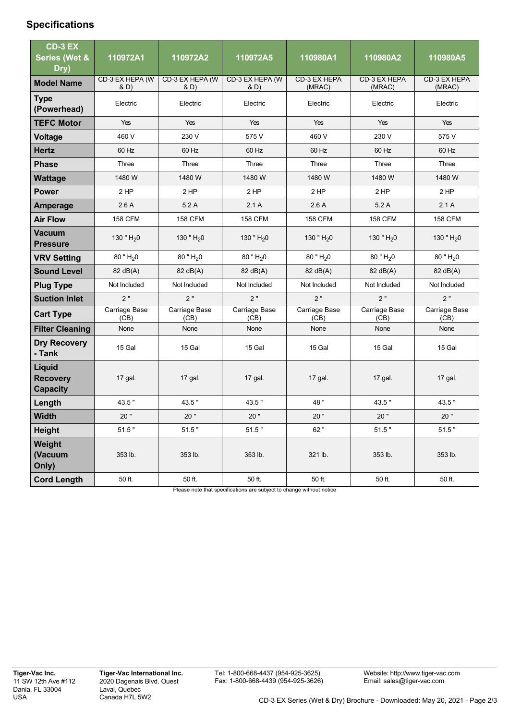## **Specifications**

| CD-3 EX                                             |                       |                         |                         |                         |                         |                         |
|-----------------------------------------------------|-----------------------|-------------------------|-------------------------|-------------------------|-------------------------|-------------------------|
| <b>Series (Wet &amp;</b>                            | 110972A1              | 110972A2                | 110972A5                | 110980A1                | 110980A2                | 110980A5                |
| Dry)                                                | CD-3 EX HEPA (W       | CD-3 EX HEPA (W         | CD-3 EX HEPA (W         | CD-3 EX HEPA            | CD-3 EX HEPA            | CD-3 EX HEPA            |
| <b>Model Name</b>                                   | & D)                  | & D)                    | & D)                    | (MRAC)                  | (MRAC)                  | (MRAC)                  |
| <b>Type</b><br>(Powerhead)                          | Electric              | Electric                | Electric                | Electric                | Electric                | Electric                |
| <b>TEFC Motor</b>                                   | Yes                   | Yes                     | Yes                     | Yes                     | Yes                     | Yes                     |
| <b>Voltage</b>                                      | 460 V                 | 230 V                   | 575 V                   | 460 V                   | 230 V                   | 575 V                   |
| <b>Hertz</b>                                        | 60 Hz                 | 60 Hz                   | 60 Hz                   | 60 Hz                   | 60 Hz                   | 60 Hz                   |
| <b>Phase</b>                                        | Three                 | Three                   | Three                   | Three                   | Three                   | Three                   |
| Wattage                                             | 1480 W                | 1480 W                  | 1480W                   | 1480 W                  | 1480 W                  | 1480 W                  |
| <b>Power</b>                                        | 2 HP                  | $2$ HP                  | 2 HP                    | 2 HP                    | 2 HP                    | $2$ HP                  |
| <b>Amperage</b>                                     | 2.6A                  | 5.2A                    | 2.1A                    | 2.6A                    | 5.2A                    | 2.1A                    |
| <b>Air Flow</b>                                     | <b>158 CFM</b>        | <b>158 CFM</b>          | <b>158 CFM</b>          | <b>158 CFM</b>          | <b>158 CFM</b>          | <b>158 CFM</b>          |
| <b>Vacuum</b><br>Pressure                           | 130 " $H_2$ 0         | 130 " $H20$             | 130 " $H_2$ 0           | 130 " $H_2$ 0           | 130 " $H_2$ 0           | 130 " $H20$             |
| <b>VRV Setting</b>                                  | $80$ " $H20$          | $80$ " H <sub>2</sub> 0 | $80$ " H <sub>2</sub> 0 | $80$ " H <sub>2</sub> 0 | $80$ " H <sub>2</sub> 0 | $80$ " H <sub>2</sub> 0 |
| <b>Sound Level</b>                                  | 82 dB(A)              | 82 dB(A)                | 82 dB(A)                | 82 dB(A)                | 82 dB(A)                | 82 dB(A)                |
| <b>Plug Type</b>                                    | Not Included          | Not Included            | Not Included            | Not Included            | Not Included            | Not Included            |
| <b>Suction Inlet</b>                                | 2"                    | 2"                      | 2"                      | 2"                      | 2"                      | 2"                      |
| <b>Cart Type</b>                                    | Carriage Base<br>(CB) | Carriage Base<br>(CB)   | Carriage Base<br>(CB)   | Carriage Base<br>(CB)   | Carriage Base<br>(CB)   | Carriage Base<br>(CB)   |
| <b>Filter Cleaning</b>                              | None                  | None                    | None                    | None                    | None                    | None                    |
| <b>Dry Recovery</b><br>- Tank                       | 15 Gal                | 15 Gal                  | 15 Gal                  | 15 Gal                  | 15 Gal                  | 15 Gal                  |
| <b>Liquid</b><br><b>Recovery</b><br><b>Capacity</b> | 17 gal.               | 17 gal.                 | 17 gal.                 | 17 gal.                 | 17 gal.                 | 17 gal.                 |
| Length                                              | 43.5"                 | 43.5"                   | 43.5"                   | 48"                     | 43.5"                   | 43.5"                   |
| <b>Width</b>                                        | 20"                   | 20"                     | 20"                     | 20"                     | 20"                     | 20"                     |
| <b>Height</b>                                       | 51.5"                 | 51.5"                   | 51.5"                   | 62"                     | 51.5"                   | 51.5"                   |
| Weight<br>(Vacuum<br>Only)                          | 353 lb.               | 353 lb.                 | 353 lb.                 | 321 lb.                 | 353 lb.                 | 353 lb.                 |
| <b>Cord Length</b>                                  | 50 ft.                | 50 ft.                  | 50 ft.                  | 50 ft.                  | 50 ft.                  | 50 ft.                  |

Please note that specifications are subject to change without notice